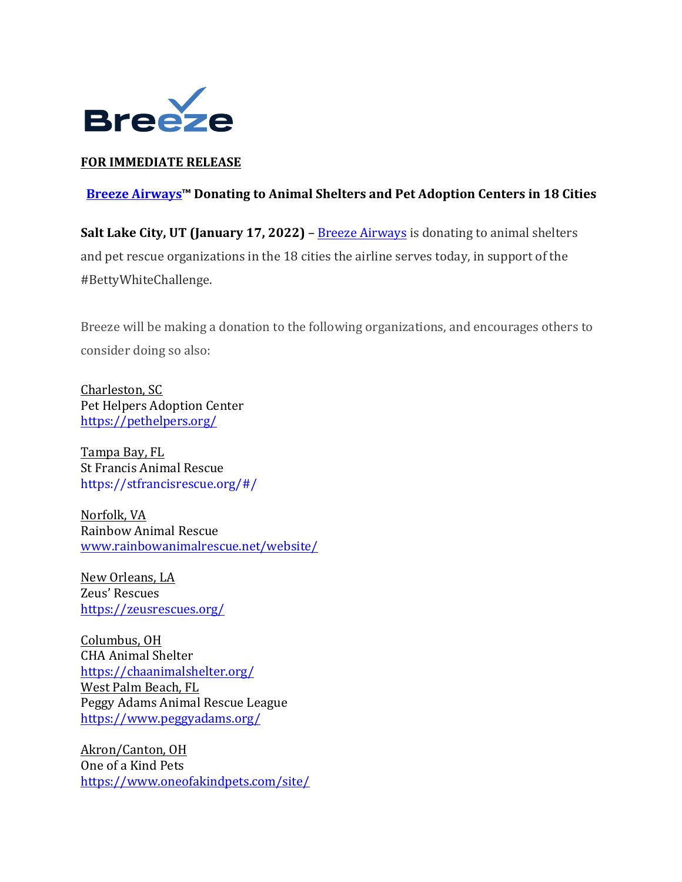

## **FOR IMMEDIATE RELEASE**

## **Breeze Airways™ Donating to Animal Shelters and Pet Adoption Centers in 18 Cities**

**Salt Lake City, UT (January 17, 2022)** – Breeze Airways is donating to animal shelters and pet rescue organizations in the 18 cities the airline serves today, in support of the #BettyWhiteChallenge.

Breeze will be making a donation to the following organizations, and encourages others to consider doing so also:

Charleston, SC Pet Helpers Adoption Center https://pethelpers.org/

Tampa Bay, FL St Francis Animal Rescue https://stfrancisrescue.org/#/

Norfolk, VA Rainbow Animal Rescue www.rainbowanimalrescue.net/website/

New Orleans, LA Zeus' Rescues https://zeusrescues.org/

Columbus, OH CHA Animal Shelter https://chaanimalshelter.org/ West Palm Beach, FL Peggy Adams Animal Rescue League https://www.peggyadams.org/

Akron/Canton, OH One of a Kind Pets https://www.oneofakindpets.com/site/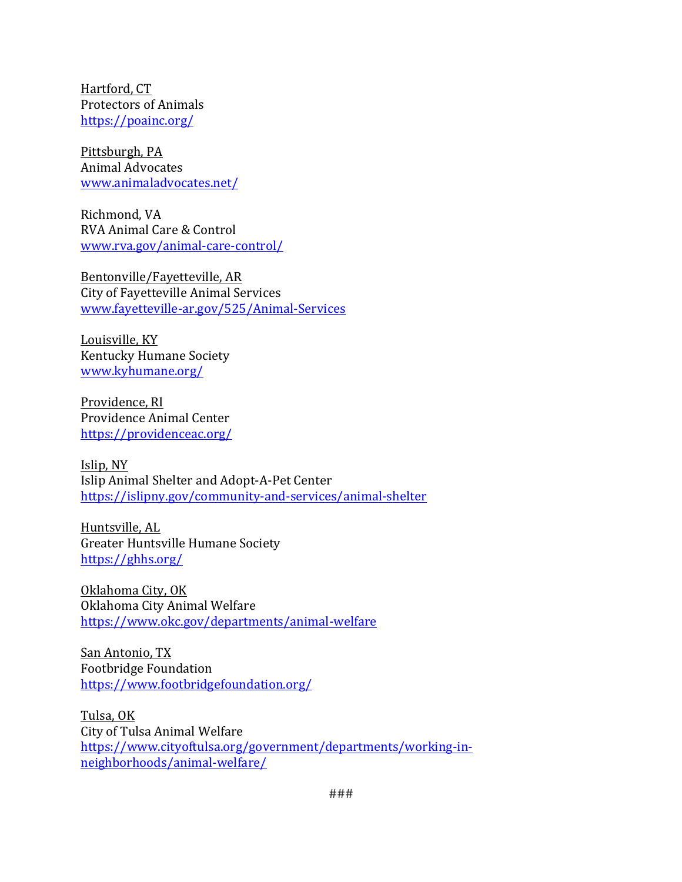Hartford, CT Protectors of Animals https://poainc.org/

Pittsburgh, PA Animal Advocates www.animaladvocates.net/

Richmond, VA RVA Animal Care & Control www.rva.gov/animal-care-control/

Bentonville/Fayetteville, AR City of Fayetteville Animal Services www.fayetteville-ar.gov/525/Animal-Services

Louisville, KY Kentucky Humane Society www.kyhumane.org/

Providence, RI Providence Animal Center https://providenceac.org/

Islip, NY Islip Animal Shelter and Adopt-A-Pet Center https://islipny.gov/community-and-services/animal-shelter

Huntsville, AL Greater Huntsville Humane Society https://ghhs.org/

Oklahoma City, OK Oklahoma City Animal Welfare https://www.okc.gov/departments/animal-welfare

San Antonio, TX Footbridge Foundation https://www.footbridgefoundation.org/

Tulsa, OK City of Tulsa Animal Welfare https://www.cityoftulsa.org/government/departments/working-inneighborhoods/animal-welfare/